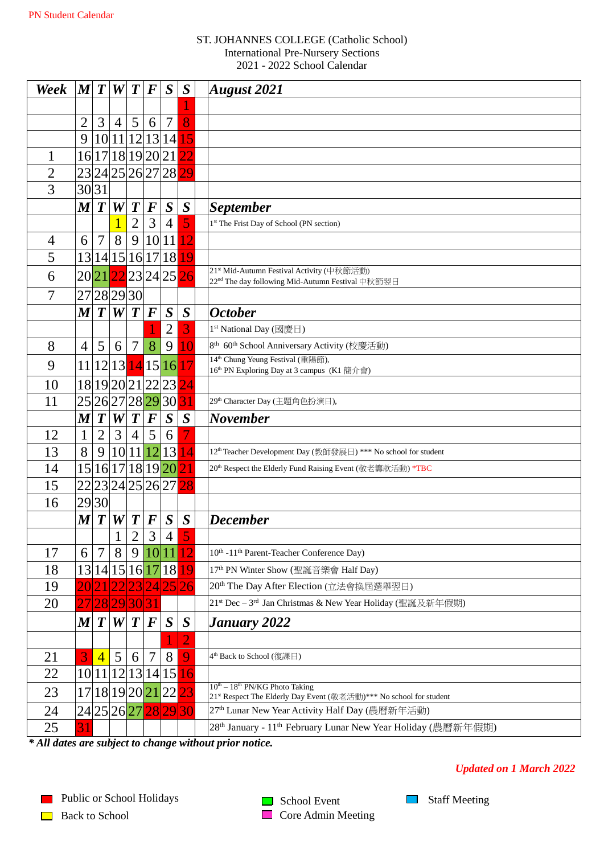## ST. JOHANNES COLLEGE (Catholic School) International Pre-Nursery Sections - 2022 School Calendar

| Week           | $ \bm{M} $       | $\boldsymbol{T}$ | W                            | T                | $\bm{F}$                      | $\boldsymbol{S}$                                  | $\boldsymbol{S}$ | <b>August 2021</b>                                                                                                               |
|----------------|------------------|------------------|------------------------------|------------------|-------------------------------|---------------------------------------------------|------------------|----------------------------------------------------------------------------------------------------------------------------------|
|                |                  |                  |                              |                  |                               |                                                   |                  |                                                                                                                                  |
|                | 2                | 3                | $\overline{4}$               | 5                | 6                             | $\overline{7}$                                    | 8                |                                                                                                                                  |
|                | 9                | 10               | 11                           |                  |                               | 12 13 14                                          | 15               |                                                                                                                                  |
|                | 16               | 17               | 18                           |                  |                               | 19 20 21                                          |                  |                                                                                                                                  |
| $\overline{2}$ |                  |                  |                              |                  |                               | 23 24 25 26 27 28                                 | 29               |                                                                                                                                  |
| 3              | 30 31            |                  |                              |                  |                               |                                                   |                  |                                                                                                                                  |
|                | $\boldsymbol{M}$ | $\boldsymbol{T}$ | W                            | $\boldsymbol{T}$ | $\boldsymbol{F}$              | $\boldsymbol{S}$                                  | $\boldsymbol{S}$ | <b>September</b>                                                                                                                 |
|                |                  |                  |                              | $\overline{2}$   | 3                             | $\overline{4}$                                    | 5                | 1st The Frist Day of School (PN section)                                                                                         |
| $\overline{4}$ | 6                | 7                | 8                            | 9                | 10                            | 11                                                | $\overline{2}$   |                                                                                                                                  |
| 5              | 13               |                  | 14 15                        |                  |                               | 16 17 18                                          | 19               |                                                                                                                                  |
| 6              |                  | 2021             |                              |                  |                               | 22 <sup>23</sup> 2425                             | 26               | 21 <sup>st</sup> Mid-Autumn Festival Activity (中秋節活動)<br>22 <sup>nd</sup> The day following Mid-Autumn Festival 中秋節翌日            |
| 7              |                  |                  | 27 28 29 30                  |                  |                               |                                                   |                  |                                                                                                                                  |
|                | $\boldsymbol{M}$ | $\boldsymbol{T}$ | W                            | $\boldsymbol{T}$ | $\bm{F}$                      | $\boldsymbol{S}$                                  | $\boldsymbol{S}$ | <b>October</b>                                                                                                                   |
|                |                  |                  |                              |                  |                               | $\overline{2}$                                    | 3                | 1 <sup>st</sup> National Day (國慶日)                                                                                               |
| 8              | $\overline{4}$   | 5                | 6                            | $\overline{7}$   | 8                             | 9                                                 |                  | 8 <sup>th</sup> 60 <sup>th</sup> School Anniversary Activity (校慶活動)                                                              |
| 9              |                  |                  | 12 13                        |                  |                               |                                                   | 17               | 14 <sup>th</sup> Chung Yeung Festival (重陽節),                                                                                     |
|                | <sup>11</sup>    |                  |                              |                  |                               | 14 15 16                                          |                  | 16 <sup>th</sup> PN Exploring Day at 3 campus (K1 簡介會)                                                                           |
| 10             |                  |                  |                              |                  |                               | 18 19 20 21 22 23                                 | $\overline{24}$  |                                                                                                                                  |
| 11             |                  |                  |                              |                  |                               | 25 26 27 28 29 30                                 | 31               | 29 <sup>th</sup> Character Day (主題角色扮演日),                                                                                        |
|                | $\boldsymbol{M}$ | $\boldsymbol{T}$ | W                            | $\boldsymbol{T}$ | $\bm{F}$                      | $\boldsymbol{S}$                                  | $\boldsymbol{S}$ | <b>November</b>                                                                                                                  |
| 12             | 1                | $\overline{2}$   | 3                            | $\overline{4}$   | 5                             | 6                                                 |                  |                                                                                                                                  |
| 13             | 8                | 9                | 10                           |                  | 11 12                         | 13                                                | 14               | 12 <sup>th</sup> Teacher Development Day (教師發展日) *** No school for student                                                       |
| 14             |                  |                  | 15 16 17                     |                  |                               | 18 19 20                                          | $\overline{21}$  | 20th Respect the Elderly Fund Raising Event (敬老籌款活動) *TBC                                                                        |
| 15             |                  |                  |                              |                  |                               | 22 23 24 25 26 27                                 | 28               |                                                                                                                                  |
| 16             |                  | 29 30            |                              |                  |                               |                                                   |                  |                                                                                                                                  |
|                | $\bm{M}$         | $\boldsymbol{T}$ | W                            | $\boldsymbol{T}$ | $\boldsymbol{F}$              | S                                                 | $\boldsymbol{S}$ | <b>December</b>                                                                                                                  |
|                |                  |                  | $\mathbf{1}$<br>$\mathbf{r}$ | $\overline{c}$   | $\mathbf{r}$<br>$\mathcal{L}$ | $\overline{4}$                                    | $\epsilon$<br>J  |                                                                                                                                  |
| 17             | 6                | 7                | 8                            | 9                | 10                            | 11                                                | 12               | 10 <sup>th</sup> -11 <sup>th</sup> Parent-Teacher Conference Day)                                                                |
| 18             |                  |                  |                              |                  |                               | 13 14 15 16 17 18                                 | 19               | 17 <sup>th</sup> PN Winter Show (聖誕音樂會 Half Day)                                                                                 |
| 19             |                  |                  |                              |                  |                               | 23 24 25 26                                       |                  | 20 <sup>th</sup> The Day After Election (立法會換屆選舉翌日)                                                                              |
| 20             |                  |                  | 28 29 30 31                  |                  |                               |                                                   |                  | 21st Dec - 3rd Jan Christmas & New Year Holiday (聖誕及新年假期)                                                                        |
|                | $\boldsymbol{M}$ | $\boldsymbol{T}$ | W                            | T                | $\bm{F}$                      | $\boldsymbol{S}$                                  | $\boldsymbol{S}$ | January 2022                                                                                                                     |
|                |                  |                  |                              |                  |                               |                                                   |                  |                                                                                                                                  |
| 21             | 3                | $\overline{4}$   | $5\overline{)}$              | 6                | 7                             | 8                                                 | 9                | 4 <sup>th</sup> Back to School (復課日)                                                                                             |
| 22             |                  |                  |                              |                  |                               | 10 11 12 13 14 15                                 | 16               |                                                                                                                                  |
| 23             |                  |                  |                              |                  |                               | 17 18 19 20 <mark> 21 </mark> 22 <mark> 23</mark> |                  | $10^{th} - 18^{th}$ PN/KG Photo Taking                                                                                           |
| 24             |                  |                  |                              |                  |                               | 24 25 26 27 28 29 30                              |                  | 21st Respect The Elderly Day Event (敬老活動)*** No school for student<br>27 <sup>th</sup> Lunar New Year Activity Half Day (農曆新年活動) |
|                |                  |                  |                              |                  |                               |                                                   |                  | 28 <sup>th</sup> January - 11 <sup>th</sup> February Lunar New Year Holiday (農曆新年假期)                                             |
| 25             | 31               |                  |                              |                  |                               |                                                   |                  |                                                                                                                                  |

*\* All dates are subject to change without prior notice.* 

## *Updated on 1 March 2022*